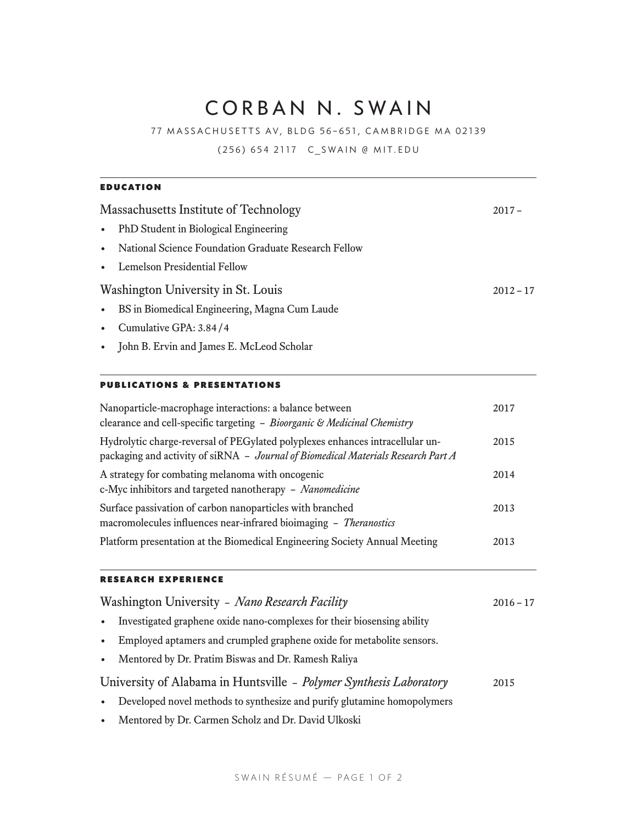# CORBAN N. SWAIN

77 MASSACHUSETTS AV, BLDG 56–651, CAMBRIDGE MA 02139

(256) 654 2117 [C\\_SWAIN @ MIT.EDU](mailto:C_SWAIN%40MIT.EDU?subject=)

| <b>EDUCATION</b>                                                  |  |  |
|-------------------------------------------------------------------|--|--|
| Massachusetts Institute of Technology                             |  |  |
| PhD Student in Biological Engineering<br>$\bullet$                |  |  |
| National Science Foundation Graduate Research Fellow<br>$\bullet$ |  |  |
| • Lemelson Presidential Fellow                                    |  |  |
| Washington University in St. Louis                                |  |  |
| BS in Biomedical Engineering, Magna Cum Laude<br>$\bullet$        |  |  |
| Cumulative GPA: 3.84/4<br>$\bullet$                               |  |  |
| • John B. Ervin and James E. McLeod Scholar                       |  |  |

| <b>PUBLICATIONS &amp; PRESENTATIONS</b>                 |      |
|---------------------------------------------------------|------|
| Nanoparticle-macrophage interactions: a balance between | 2017 |

| Tranoparticle-macrophage interactions: a balance between<br>clearance and cell-specific targeting - Bioorganic & Medicinal Chemistry                               | 2017 |
|--------------------------------------------------------------------------------------------------------------------------------------------------------------------|------|
| Hydrolytic charge-reversal of PEGylated polyplexes enhances intracellular un-<br>packaging and activity of siRNA - Journal of Biomedical Materials Research Part A | 2015 |
| A strategy for combating melanoma with oncogenic<br>c-Myc inhibitors and targeted nanotherapy - Nanomedicine                                                       | 2014 |
| Surface passivation of carbon nanoparticles with branched<br>macromolecules influences near-infrared bioimaging - Theranostics                                     | 2013 |
| Platform presentation at the Biomedical Engineering Society Annual Meeting                                                                                         | 2013 |

# RESEARCH EXPERIENCE

| Washington University - Nano Research Facility                                       |      |
|--------------------------------------------------------------------------------------|------|
| Investigated graphene oxide nano-complexes for their biosensing ability<br>$\bullet$ |      |
| Employed aptamers and crumpled graphene oxide for metabolite sensors.<br>$\bullet$   |      |
| Mentored by Dr. Pratim Biswas and Dr. Ramesh Raliya<br>$\bullet$                     |      |
| University of Alabama in Huntsville - Polymer Synthesis Laboratory                   | 2015 |
| Developed novel methods to synthesize and purify glutamine homopolymers<br>$\bullet$ |      |
| Mentored by Dr. Carmen Scholz and Dr. David Ulkoski<br>$\bullet$                     |      |
|                                                                                      |      |